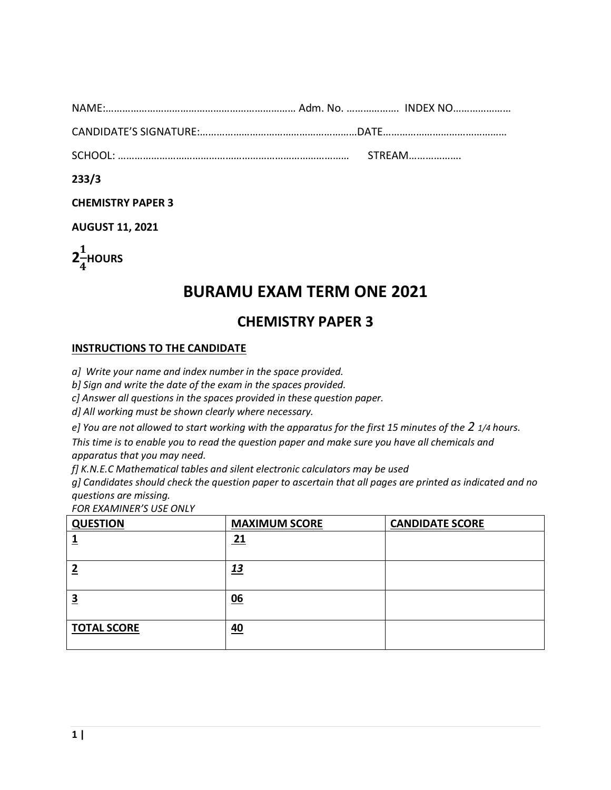| <b>NAME</b> |  |
|-------------|--|
|             |  |

CANDIDATE'S SIGNATURE:…………………………………………………DATE………………………………………

SCHOOL: ………………………………………………………………………… STREAM……………….

**233/3** 

**CHEMISTRY PAPER 3**

**AUGUST 11, 2021**



# **BURAMU EXAM TERM ONE 2021**

## **CHEMISTRY PAPER 3**

#### **INSTRUCTIONS TO THE CANDIDATE**

*a] Write your name and index number in the space provided.*

*b] Sign and write the date of the exam in the spaces provided.*

*c] Answer all questions in the spaces provided in these question paper.*

*d] All working must be shown clearly where necessary.*

*e] You are not allowed to start working with the apparatus for the first 15 minutes of the 2 1/4 hours.* 

*This time is to enable you to read the question paper and make sure you have all chemicals and apparatus that you may need.*

*f] K.N.E.C Mathematical tables and silent electronic calculators may be used*

*g] Candidates should check the question paper to ascertain that all pages are printed as indicated and no questions are missing.*

*FOR EXAMINER'S USE ONLY*

| <b>QUESTION</b>    | <b>MAXIMUM SCORE</b> | <b>CANDIDATE SCORE</b> |
|--------------------|----------------------|------------------------|
|                    | <u>21</u>            |                        |
|                    | <u> 13</u>           |                        |
| э                  | 06                   |                        |
| <b>TOTAL SCORE</b> | 40                   |                        |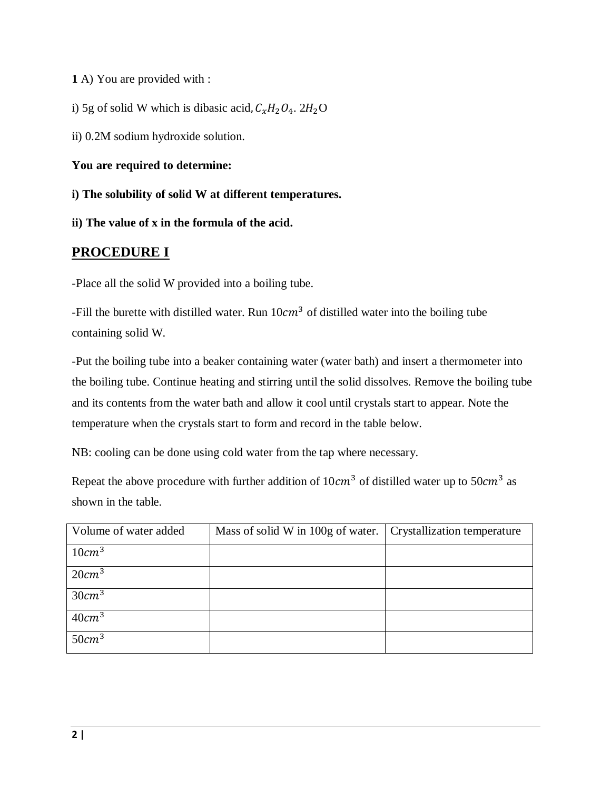**1** A) You are provided with :

i) 5g of solid W which is dibasic acid,  $C_xH_2O_4$ . 2H<sub>2</sub>O

ii) 0.2M sodium hydroxide solution.

**You are required to determine:** 

**i) The solubility of solid W at different temperatures.**

**ii) The value of x in the formula of the acid.**

### **PROCEDURE I**

-Place all the solid W provided into a boiling tube.

-Fill the burette with distilled water. Run  $10cm<sup>3</sup>$  of distilled water into the boiling tube containing solid W.

-Put the boiling tube into a beaker containing water (water bath) and insert a thermometer into the boiling tube. Continue heating and stirring until the solid dissolves. Remove the boiling tube and its contents from the water bath and allow it cool until crystals start to appear. Note the temperature when the crystals start to form and record in the table below.

NB: cooling can be done using cold water from the tap where necessary.

Repeat the above procedure with further addition of  $10cm<sup>3</sup>$  of distilled water up to  $50cm<sup>3</sup>$  as shown in the table.

| Volume of water added | Mass of solid W in 100g of water. | Crystallization temperature |
|-----------------------|-----------------------------------|-----------------------------|
| 10cm <sup>3</sup>     |                                   |                             |
| 20cm <sup>3</sup>     |                                   |                             |
| 30cm <sup>3</sup>     |                                   |                             |
| 40cm <sup>3</sup>     |                                   |                             |
| 50cm <sup>3</sup>     |                                   |                             |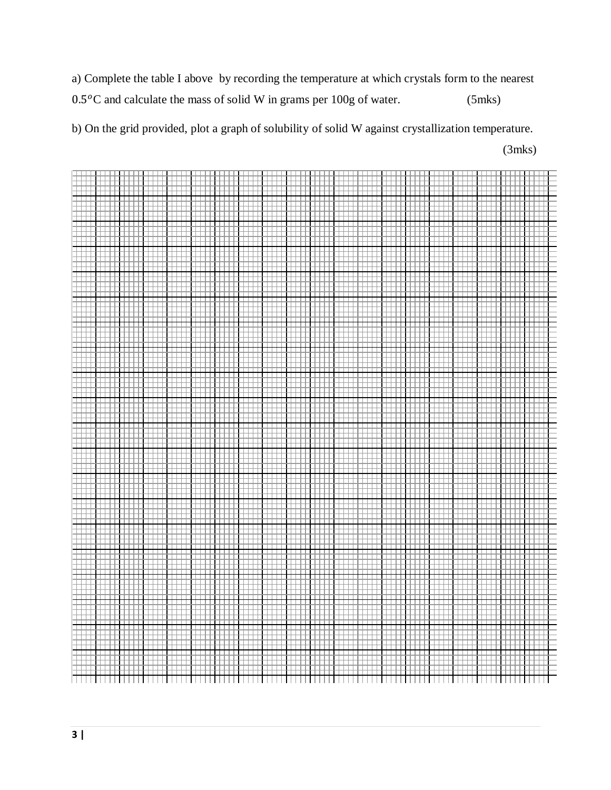a) Complete the table I above by recording the temperature at which crystals form to the nearest  $0.5\,^{\circ}$ C and calculate the mass of solid W in grams per 100g of water. (5mks)

b) On the grid provided, plot a graph of solubility of solid W against crystallization temperature.

(3mks)

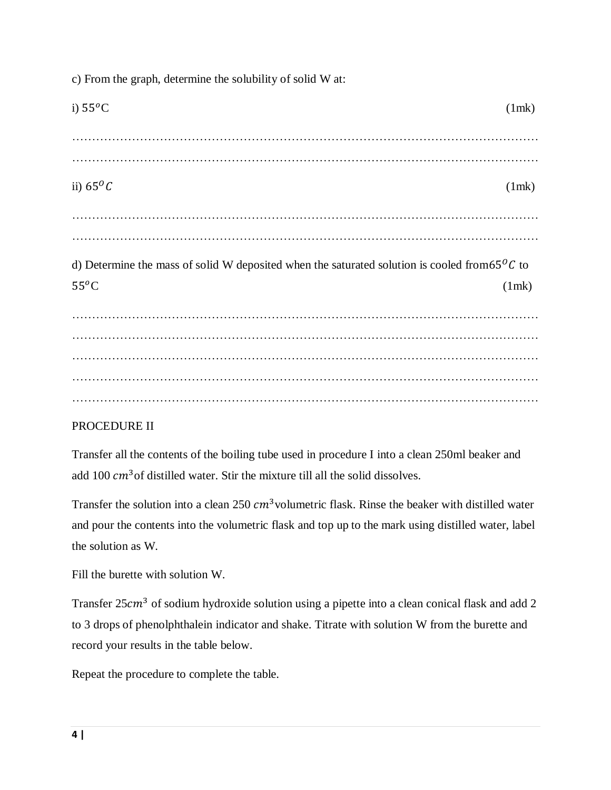| i) $55^{\circ}$ C                                                                                                 | (1mk) |
|-------------------------------------------------------------------------------------------------------------------|-------|
|                                                                                                                   |       |
| ii) $65^{\circ}C$                                                                                                 | (1mk) |
|                                                                                                                   |       |
| d) Determine the mass of solid W deposited when the saturated solution is cooled from $65\degree C$ to<br>$55^oC$ | (1mk) |
|                                                                                                                   |       |
|                                                                                                                   |       |
|                                                                                                                   |       |
|                                                                                                                   |       |
|                                                                                                                   |       |

c) From the graph, determine the solubility of solid W at:

#### PROCEDURE II

Transfer all the contents of the boiling tube used in procedure I into a clean 250ml beaker and add 100  $cm<sup>3</sup>$  of distilled water. Stir the mixture till all the solid dissolves.

Transfer the solution into a clean 250  $cm<sup>3</sup>$  volumetric flask. Rinse the beaker with distilled water and pour the contents into the volumetric flask and top up to the mark using distilled water, label the solution as W.

Fill the burette with solution W.

Transfer  $25cm<sup>3</sup>$  of sodium hydroxide solution using a pipette into a clean conical flask and add 2 to 3 drops of phenolphthalein indicator and shake. Titrate with solution W from the burette and record your results in the table below.

Repeat the procedure to complete the table.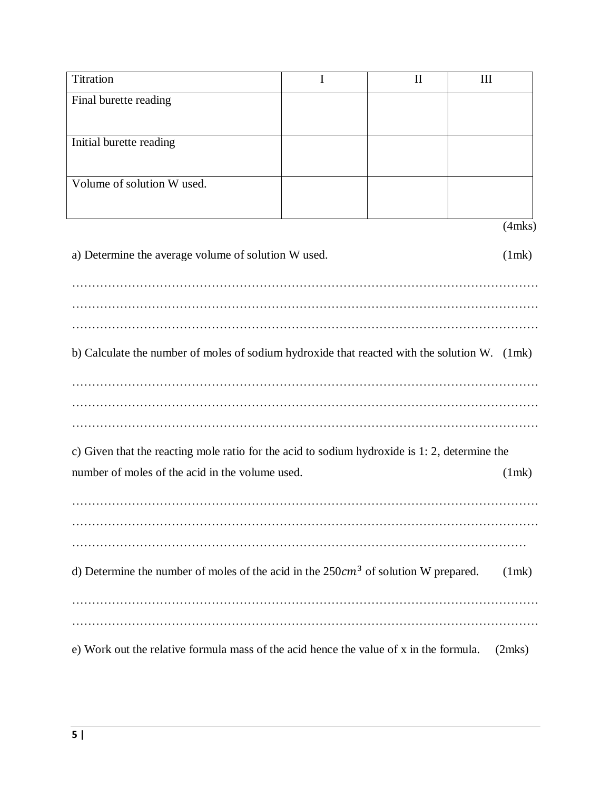| Titration                                                                                     | I | $\mathbf{I}$ | III          |
|-----------------------------------------------------------------------------------------------|---|--------------|--------------|
| Final burette reading                                                                         |   |              |              |
|                                                                                               |   |              |              |
| Initial burette reading                                                                       |   |              |              |
|                                                                                               |   |              |              |
| Volume of solution W used.                                                                    |   |              |              |
|                                                                                               |   |              |              |
|                                                                                               |   |              | $(4$ mks $)$ |
| a) Determine the average volume of solution W used.                                           |   |              | (1mk)        |
|                                                                                               |   |              |              |
|                                                                                               |   |              |              |
|                                                                                               |   |              |              |
|                                                                                               |   |              |              |
| b) Calculate the number of moles of sodium hydroxide that reacted with the solution W. (1mk)  |   |              |              |
|                                                                                               |   |              |              |
|                                                                                               |   |              |              |
|                                                                                               |   |              |              |
| c) Given that the reacting mole ratio for the acid to sodium hydroxide is 1: 2, determine the |   |              |              |
| number of moles of the acid in the volume used.                                               |   |              | (1mk)        |
|                                                                                               |   |              |              |
|                                                                                               |   |              |              |
|                                                                                               |   |              |              |
|                                                                                               |   |              |              |
| d) Determine the number of moles of the acid in the $250cm3$ of solution W prepared.          |   |              | (1mk)        |
|                                                                                               |   |              |              |
|                                                                                               |   |              |              |
| e) Work out the relative formula mass of the acid hence the value of x in the formula.        |   |              | (2mks)       |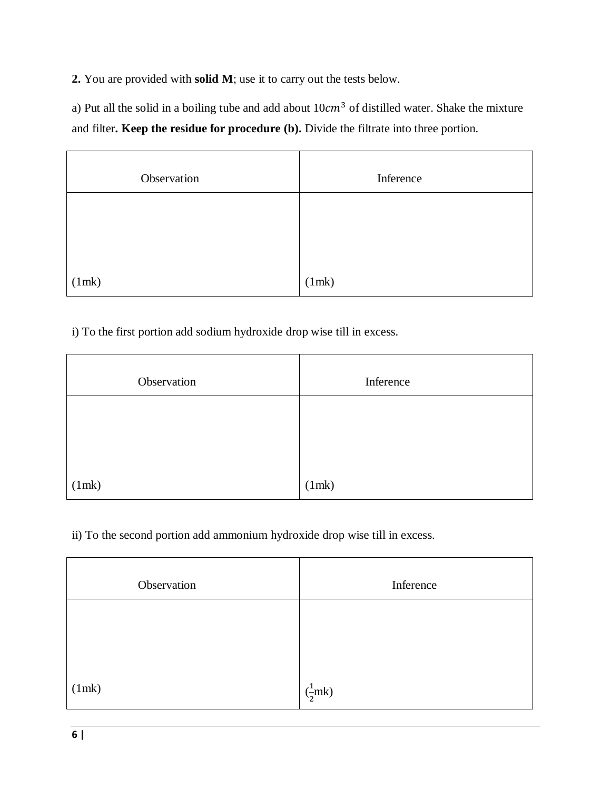**2.** You are provided with **solid M**; use it to carry out the tests below.

a) Put all the solid in a boiling tube and add about  $10cm<sup>3</sup>$  of distilled water. Shake the mixture and filter**. Keep the residue for procedure (b).** Divide the filtrate into three portion.

| Observation | Inference |
|-------------|-----------|
|             |           |
|             |           |
| (1mk)       | (1mk)     |

i) To the first portion add sodium hydroxide drop wise till in excess.

| Observation | Inference |
|-------------|-----------|
|             |           |
|             |           |
| (1mk)       | (1mk)     |

ii) To the second portion add ammonium hydroxide drop wise till in excess.

| Observation | Inference                    |
|-------------|------------------------------|
|             |                              |
|             |                              |
| (1mk)       | $\left(\frac{1}{2}mk\right)$ |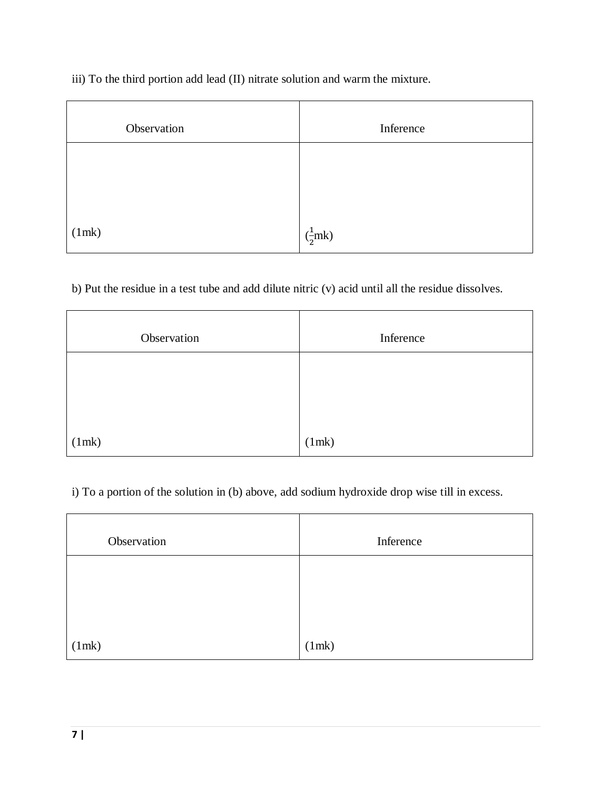iii) To the third portion add lead (II) nitrate solution and warm the mixture.

| Observation | Inference                    |
|-------------|------------------------------|
|             |                              |
|             |                              |
| (1mk)       | $\left(\frac{1}{2}mk\right)$ |

b) Put the residue in a test tube and add dilute nitric (v) acid until all the residue dissolves.

| Observation | Inference |
|-------------|-----------|
|             |           |
|             |           |
| (1mk)       | (1mk)     |

i) To a portion of the solution in (b) above, add sodium hydroxide drop wise till in excess.

| Observation | Inference |
|-------------|-----------|
|             |           |
|             |           |
| (1mk)       | (1mk)     |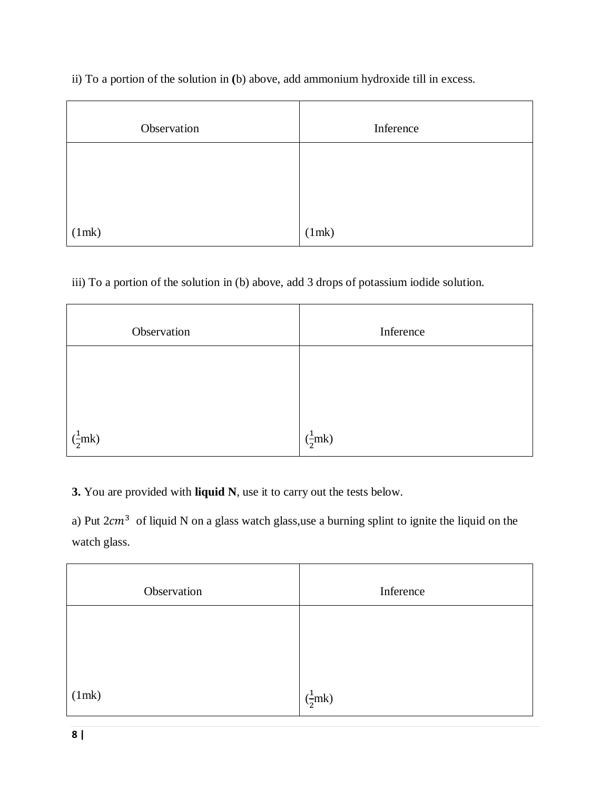ii) To a portion of the solution in **(**b) above, add ammonium hydroxide till in excess.

| Observation | Inference |
|-------------|-----------|
|             |           |
|             |           |
| (1mk)       | (1mk)     |

iii) To a portion of the solution in (b) above, add 3 drops of potassium iodide solution.

| Observation                  | Inference                    |
|------------------------------|------------------------------|
|                              |                              |
|                              |                              |
| $\left(\frac{1}{2}mk\right)$ | $\left(\frac{1}{2}mk\right)$ |

**3.** You are provided with **liquid N**, use it to carry out the tests below.

a) Put  $2cm<sup>3</sup>$  of liquid N on a glass watch glass,use a burning splint to ignite the liquid on the watch glass.

| Observation | Inference                    |
|-------------|------------------------------|
|             |                              |
|             |                              |
| (1mk)       | $\left(\frac{1}{2}mk\right)$ |